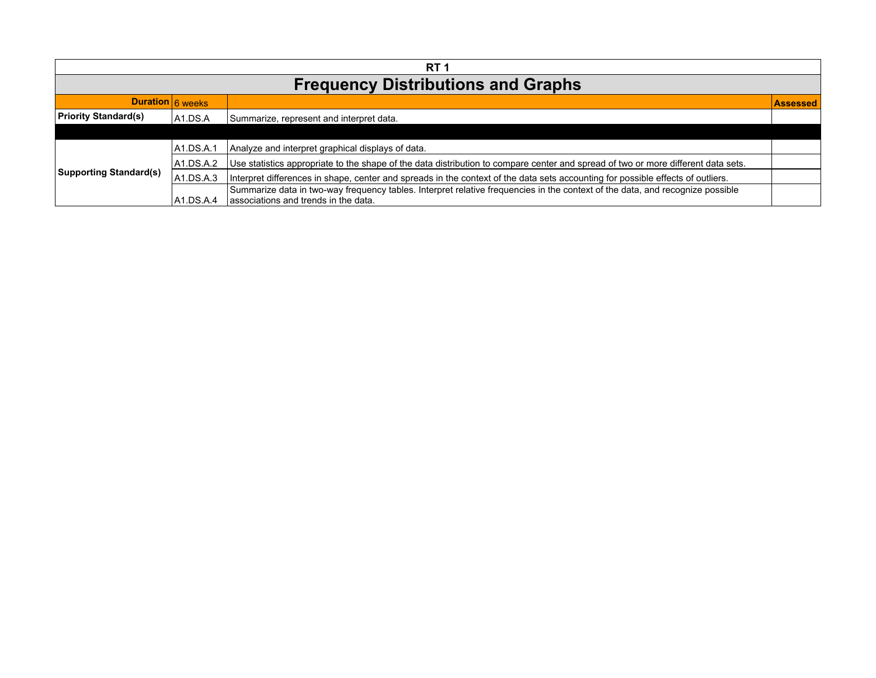| <b>RT</b> 1                               |            |                                                                                                                                                                       |                 |
|-------------------------------------------|------------|-----------------------------------------------------------------------------------------------------------------------------------------------------------------------|-----------------|
| <b>Frequency Distributions and Graphs</b> |            |                                                                                                                                                                       |                 |
| Duration 6 weeks                          |            |                                                                                                                                                                       | <b>Assessed</b> |
| <b>Priority Standard(s)</b>               | A1.DS.A    | Summarize, represent and interpret data.                                                                                                                              |                 |
|                                           |            |                                                                                                                                                                       |                 |
| <b>Supporting Standard(s)</b>             | IA1.DS.A.1 | Analyze and interpret graphical displays of data.                                                                                                                     |                 |
|                                           | 1A1.DS.A.2 | Use statistics appropriate to the shape of the data distribution to compare center and spread of two or more different data sets.                                     |                 |
|                                           | A1.DS.A.3  | Interpret differences in shape, center and spreads in the context of the data sets accounting for possible effects of outliers.                                       |                 |
|                                           | IA1.DS.A.4 | Summarize data in two-way frequency tables. Interpret relative frequencies in the context of the data, and recognize possible<br>associations and trends in the data. |                 |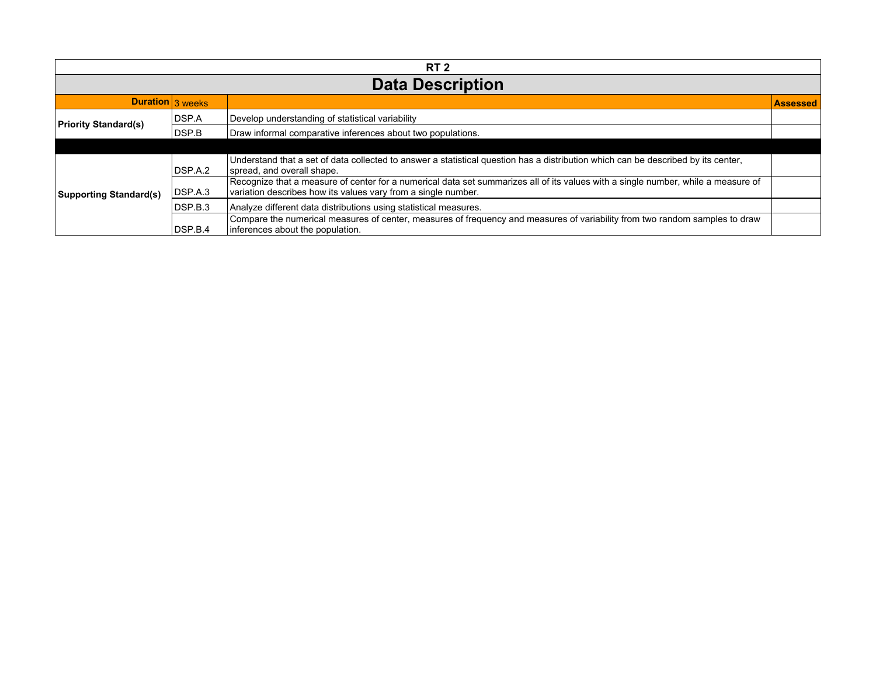| RT <sub>2</sub>               |                  |                                                                                                                                                                                                    |                 |
|-------------------------------|------------------|----------------------------------------------------------------------------------------------------------------------------------------------------------------------------------------------------|-----------------|
| <b>Data Description</b>       |                  |                                                                                                                                                                                                    |                 |
|                               | Duration 3 weeks |                                                                                                                                                                                                    | <b>Assessed</b> |
| <b>Priority Standard(s)</b>   | DSP.A            | Develop understanding of statistical variability                                                                                                                                                   |                 |
|                               | DSP.B            | Draw informal comparative inferences about two populations.                                                                                                                                        |                 |
|                               |                  |                                                                                                                                                                                                    |                 |
| <b>Supporting Standard(s)</b> | DSP.A.2          | Understand that a set of data collected to answer a statistical question has a distribution which can be described by its center,<br>spread, and overall shape.                                    |                 |
|                               | DSP.A.3          | Recognize that a measure of center for a numerical data set summarizes all of its values with a single number, while a measure of<br>variation describes how its values vary from a single number. |                 |
|                               | DSP.B.3          | Analyze different data distributions using statistical measures.                                                                                                                                   |                 |
|                               | DSP.B.4          | Compare the numerical measures of center, measures of frequency and measures of variability from two random samples to draw<br>inferences about the population.                                    |                 |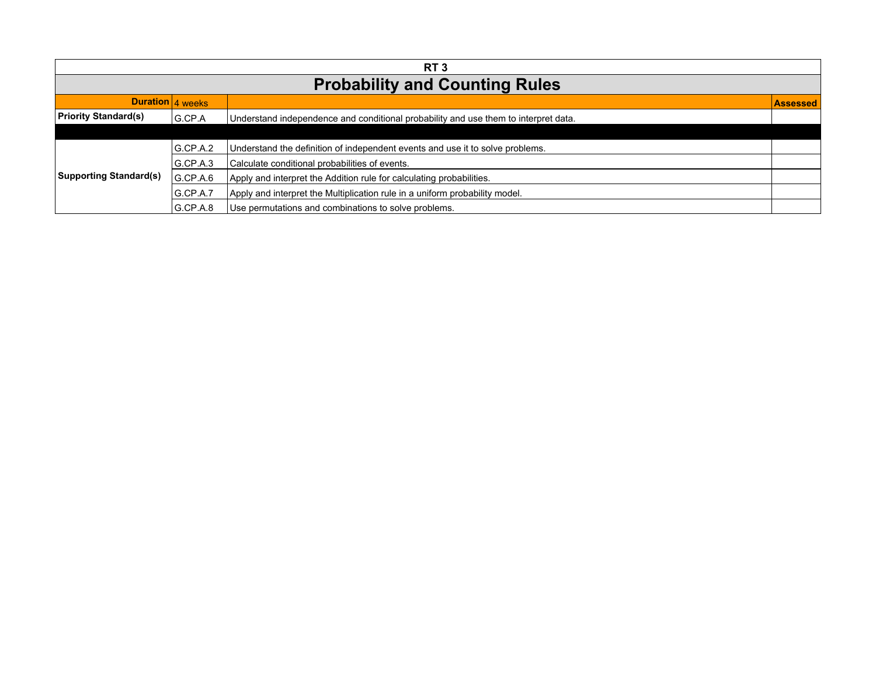| RT <sub>3</sub>                       |                  |                                                                                     |                 |
|---------------------------------------|------------------|-------------------------------------------------------------------------------------|-----------------|
| <b>Probability and Counting Rules</b> |                  |                                                                                     |                 |
|                                       | Duration 4 weeks |                                                                                     | <b>Assessed</b> |
| <b>Priority Standard(s)</b>           | G.CP.A           | Understand independence and conditional probability and use them to interpret data. |                 |
|                                       |                  |                                                                                     |                 |
| <b>Supporting Standard(s)</b>         | G.C.P.A.2        | Understand the definition of independent events and use it to solve problems.       |                 |
|                                       | G.CP.A.3         | Calculate conditional probabilities of events.                                      |                 |
|                                       | G.C.P.A.6        | Apply and interpret the Addition rule for calculating probabilities.                |                 |
|                                       | G.CP.A.7         | Apply and interpret the Multiplication rule in a uniform probability model.         |                 |
|                                       | G.CP.A.8         | Use permutations and combinations to solve problems.                                |                 |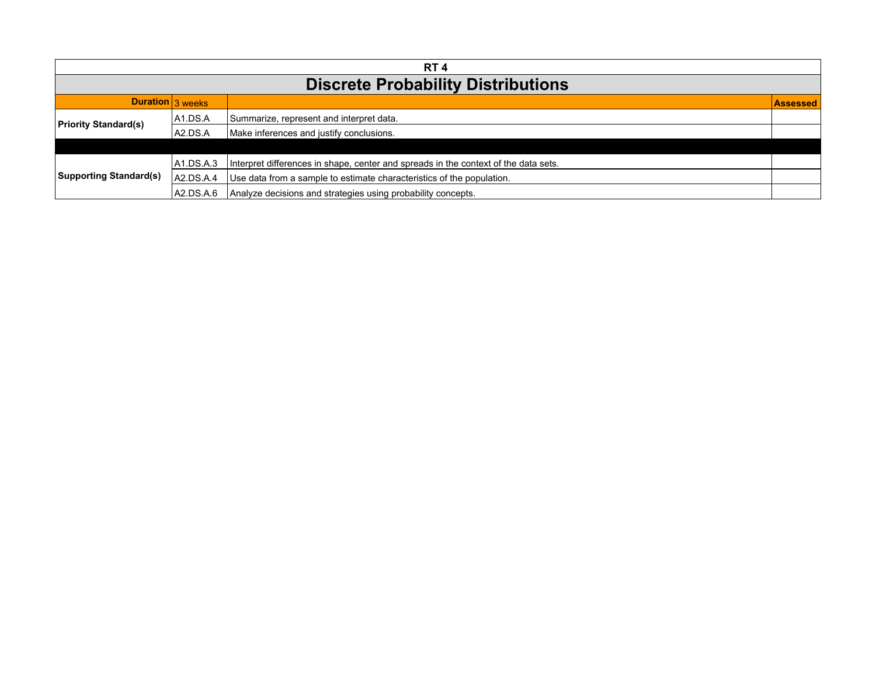| RT <sub>4</sub>                           |            |                                                                                     |                 |
|-------------------------------------------|------------|-------------------------------------------------------------------------------------|-----------------|
| <b>Discrete Probability Distributions</b> |            |                                                                                     |                 |
| Duration 3 weeks                          |            |                                                                                     | <b>Assessed</b> |
| <b>Priority Standard(s)</b>               | A1.DS.A    | Summarize, represent and interpret data.                                            |                 |
|                                           | IA2.DS.A   | Make inferences and justify conclusions.                                            |                 |
|                                           |            |                                                                                     |                 |
| <b>Supporting Standard(s)</b>             | 1A1.DS.A.3 | Interpret differences in shape, center and spreads in the context of the data sets. |                 |
|                                           | A2.DS.A.4  | Use data from a sample to estimate characteristics of the population.               |                 |
|                                           | A2.DS.A.6  | Analyze decisions and strategies using probability concepts.                        |                 |